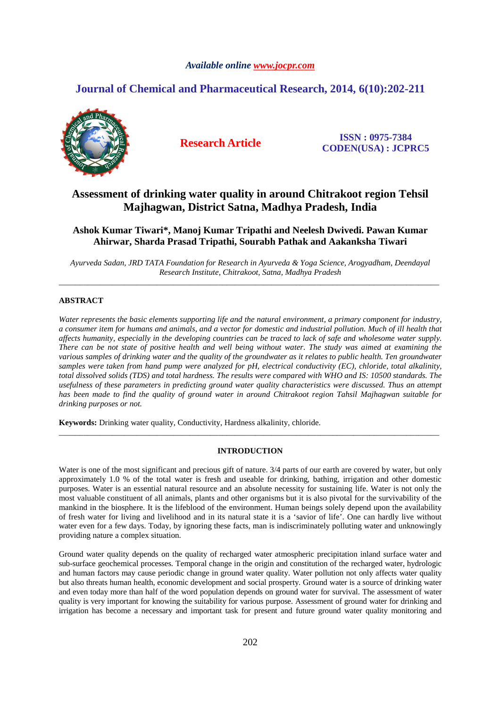# *Available online www.jocpr.com*

# **Journal of Chemical and Pharmaceutical Research, 2014, 6(10):202-211**



**Research Article ISSN : 0975-7384 CODEN(USA) : JCPRC5**

# **Assessment of drinking water quality in around Chitrakoot region Tehsil Majhagwan, District Satna, Madhya Pradesh, India**

# **Ashok Kumar Tiwari\*, Manoj Kumar Tripathi and Neelesh Dwivedi. Pawan Kumar Ahirwar, Sharda Prasad Tripathi, Sourabh Pathak and Aakanksha Tiwari**

*Ayurveda Sadan, JRD TATA Foundation for Research in Ayurveda & Yoga Science, Arogyadham, Deendayal Research Institute, Chitrakoot, Satna, Madhya Pradesh*  \_\_\_\_\_\_\_\_\_\_\_\_\_\_\_\_\_\_\_\_\_\_\_\_\_\_\_\_\_\_\_\_\_\_\_\_\_\_\_\_\_\_\_\_\_\_\_\_\_\_\_\_\_\_\_\_\_\_\_\_\_\_\_\_\_\_\_\_\_\_\_\_\_\_\_\_\_\_\_\_\_\_\_\_\_\_\_\_\_\_\_\_\_

# **ABSTRACT**

*Water represents the basic elements supporting life and the natural environment, a primary component for industry, a consumer item for humans and animals, and a vector for domestic and industrial pollution. Much of ill health that affects humanity, especially in the developing countries can be traced to lack of safe and wholesome water supply. There can be not state of positive health and well being without water. The study was aimed at examining the various samples of drinking water and the quality of the groundwater as it relates to public health. Ten groundwater samples were taken from hand pump were analyzed for pH, electrical conductivity (EC), chloride, total alkalinity, total dissolved solids (TDS) and total hardness. The results were compared with WHO and IS: 10500 standards. The usefulness of these parameters in predicting ground water quality characteristics were discussed. Thus an attempt has been made to find the quality of ground water in around Chitrakoot region Tahsil Majhagwan suitable for drinking purposes or not.* 

**Keywords:** Drinking water quality, Conductivity, Hardness alkalinity, chloride.

## **INTRODUCTION**

\_\_\_\_\_\_\_\_\_\_\_\_\_\_\_\_\_\_\_\_\_\_\_\_\_\_\_\_\_\_\_\_\_\_\_\_\_\_\_\_\_\_\_\_\_\_\_\_\_\_\_\_\_\_\_\_\_\_\_\_\_\_\_\_\_\_\_\_\_\_\_\_\_\_\_\_\_\_\_\_\_\_\_\_\_\_\_\_\_\_\_\_\_

Water is one of the most significant and precious gift of nature.  $3/4$  parts of our earth are covered by water, but only approximately 1.0 % of the total water is fresh and useable for drinking, bathing, irrigation and other domestic purposes. Water is an essential natural resource and an absolute necessity for sustaining life. Water is not only the most valuable constituent of all animals, plants and other organisms but it is also pivotal for the survivability of the mankind in the biosphere. It is the lifeblood of the environment. Human beings solely depend upon the availability of fresh water for living and livelihood and in its natural state it is a 'savior of life'. One can hardly live without water even for a few days. Today, by ignoring these facts, man is indiscriminately polluting water and unknowingly providing nature a complex situation.

Ground water quality depends on the quality of recharged water atmospheric precipitation inland surface water and sub-surface geochemical processes. Temporal change in the origin and constitution of the recharged water, hydrologic and human factors may cause periodic change in ground water quality. Water pollution not only affects water quality but also threats human health, economic development and social prosperty. Ground water is a source of drinking water and even today more than half of the word population depends on ground water for survival. The assessment of water quality is very important for knowing the suitability for various purpose. Assessment of ground water for drinking and irrigation has become a necessary and important task for present and future ground water quality monitoring and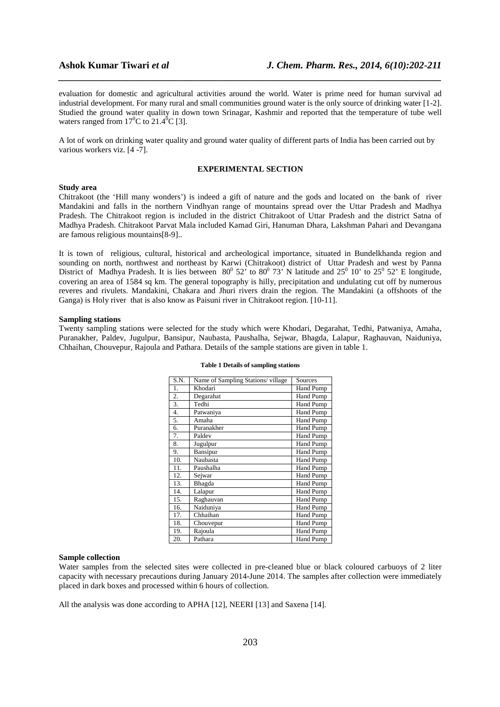evaluation for domestic and agricultural activities around the world. Water is prime need for human survival ad industrial development. For many rural and small communities ground water is the only source of drinking water [1-2]. Studied the ground water quality in down town Srinagar, Kashmir and reported that the temperature of tube well waters ranged from  $17^{\circ}$ C to  $21.4^{\circ}$ C [3].

*\_\_\_\_\_\_\_\_\_\_\_\_\_\_\_\_\_\_\_\_\_\_\_\_\_\_\_\_\_\_\_\_\_\_\_\_\_\_\_\_\_\_\_\_\_\_\_\_\_\_\_\_\_\_\_\_\_\_\_\_\_\_\_\_\_\_\_\_\_\_\_\_\_\_\_\_\_\_*

A lot of work on drinking water quality and ground water quality of different parts of India has been carried out by various workers viz. [4 -7].

## **EXPERIMENTAL SECTION**

#### **Study area**

Chitrakoot (the 'Hill many wonders') is indeed a gift of nature and the gods and located on the bank of river Mandakini and falls in the northern Vindhyan range of mountains spread over the Uttar Pradesh and Madhya Pradesh. The Chitrakoot region is included in the district Chitrakoot of Uttar Pradesh and the district Satna of Madhya Pradesh. Chitrakoot Parvat Mala included Kamad Giri, Hanuman Dhara, Lakshman Pahari and Devangana are famous religious mountains[8-9]..

It is town of religious, cultural, historical and archeological importance, situated in Bundelkhanda region and sounding on north, northwest and northeast by Karwi (Chitrakoot) district of Uttar Pradesh and west by Panna District of Madhya Pradesh. It is lies between  $80^{\circ}$  52' to  $80^{\circ}$  73' N latitude and  $25^{\circ}$  10' to  $25^{\circ}$  52' E longitude, covering an area of 1584 sq km. The general topography is hilly, precipitation and undulating cut off by numerous reveres and rivulets. Mandakini, Chakara and Jhuri rivers drain the region. The Mandakini (a offshoots of the Ganga) is Holy river that is also know as Paisuni river in Chitrakoot region. [10-11].

### **Sampling stations**

Twenty sampling stations were selected for the study which were Khodari, Degarahat, Tedhi, Patwaniya, Amaha, Puranakher, Paldev, Jugulpur, Bansipur, Naubasta, Paushalha, Sejwar, Bhagda, Lalapur, Raghauvan, Naiduniya, Chhaihan, Chouvepur, Rajoula and Pathara. Details of the sample stations are given in table 1.

| S.N. | Name of Sampling Stations/village | Sources          |
|------|-----------------------------------|------------------|
| 1.   | Khodari                           | <b>Hand Pump</b> |
| 2.   | Degarahat                         | <b>Hand Pump</b> |
| 3.   | Tedhi                             | <b>Hand Pump</b> |
| 4.   | Patwaniya                         | Hand Pump        |
| 5.   | Amaha                             | <b>Hand Pump</b> |
| 6.   | Puranakher                        | <b>Hand Pump</b> |
| 7.   | Paldev                            | <b>Hand Pump</b> |
| 8.   | Jugulpur                          | <b>Hand Pump</b> |
| 9.   | Bansipur                          | <b>Hand Pump</b> |
| 10.  | Naubasta                          | <b>Hand Pump</b> |
| 11.  | Paushalha                         | <b>Hand Pump</b> |
| 12.  | Sejwar                            | Hand Pump        |
| 13.  | Bhagda                            | <b>Hand Pump</b> |
| 14.  | Lalapur                           | <b>Hand Pump</b> |
| 15.  | Raghauvan                         | <b>Hand Pump</b> |
| 16.  | Naiduniya                         | <b>Hand Pump</b> |
| 17.  | Chhaihan                          | <b>Hand Pump</b> |
| 18.  | Chouvepur                         | <b>Hand Pump</b> |
| 19.  | Rajoula                           | <b>Hand Pump</b> |
| 20.  | Pathara                           | <b>Hand Pump</b> |

#### **Table 1 Details of sampling stations**

#### **Sample collection**

Water samples from the selected sites were collected in pre-cleaned blue or black coloured carbuoys of 2 liter capacity with necessary precautions during January 2014-June 2014. The samples after collection were immediately placed in dark boxes and processed within 6 hours of collection.

All the analysis was done according to APHA [12], NEERI [13] and Saxena [14].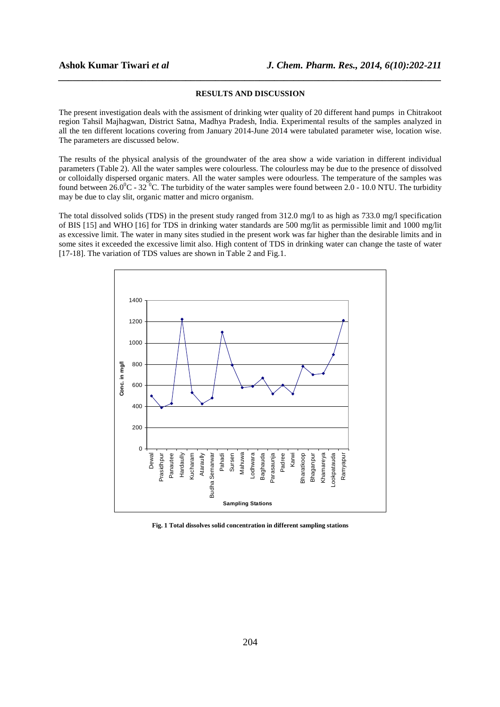### **RESULTS AND DISCUSSION**

*\_\_\_\_\_\_\_\_\_\_\_\_\_\_\_\_\_\_\_\_\_\_\_\_\_\_\_\_\_\_\_\_\_\_\_\_\_\_\_\_\_\_\_\_\_\_\_\_\_\_\_\_\_\_\_\_\_\_\_\_\_\_\_\_\_\_\_\_\_\_\_\_\_\_\_\_\_\_*

The present investigation deals with the assisment of drinking wter quality of 20 different hand pumps in Chitrakoot region Tahsil Majhagwan, District Satna, Madhya Pradesh, India. Experimental results of the samples analyzed in all the ten different locations covering from January 2014-June 2014 were tabulated parameter wise, location wise. The parameters are discussed below.

The results of the physical analysis of the groundwater of the area show a wide variation in different individual parameters (Table 2). All the water samples were colourless. The colourless may be due to the presence of dissolved or colloidally dispersed organic maters. All the water samples were odourless. The temperature of the samples was found between 26.0<sup>o</sup>C - 32 <sup>o</sup>C. The turbidity of the water samples were found between 2.0 - 10.0 NTU. The turbidity may be due to clay slit, organic matter and micro organism.

The total dissolved solids (TDS) in the present study ranged from 312.0 mg/l to as high as 733.0 mg/l specification of BIS [15] and WHO [16] for TDS in drinking water standards are 500 mg/lit as permissible limit and 1000 mg/lit as excessive limit. The water in many sites studied in the present work was far higher than the desirable limits and in some sites it exceeded the excessive limit also. High content of TDS in drinking water can change the taste of water [17-18]. The variation of TDS values are shown in Table 2 and Fig.1.



**Fig. 1 Total dissolves solid concentration in different sampling stations**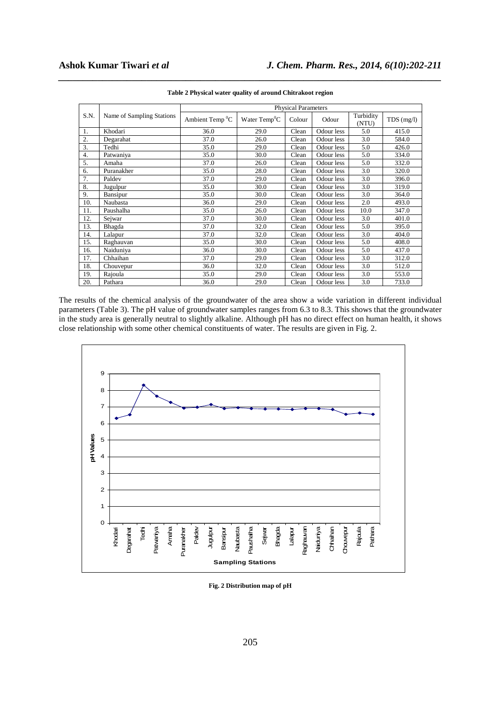|                |                           | <b>Physical Parameters</b> |                           |        |            |                    |              |  |  |
|----------------|---------------------------|----------------------------|---------------------------|--------|------------|--------------------|--------------|--|--|
| S.N.           | Name of Sampling Stations | Ambient Temp ${}^{0}C$     | Water Temp <sup>0</sup> C | Colour | Odour      | Turbidity<br>(NTU) | $TDS$ (mg/l) |  |  |
| $\mathbf{1}$ . | Khodari                   | 36.0                       | 29.0                      | Clean  | Odour less | 5.0                | 415.0        |  |  |
| 2.             | Degarahat                 | 37.0                       | 26.0                      | Clean  | Odour less | 3.0                | 584.0        |  |  |
| 3.             | Tedhi                     | 35.0                       | 29.0                      | Clean  | Odour less | 5.0                | 426.0        |  |  |
| 4.             | Patwaniya                 | 35.0                       | 30.0                      | Clean  | Odour less | 5.0                | 334.0        |  |  |
| 5.             | Amaha                     | 37.0                       | 26.0                      | Clean  | Odour less | 5.0                | 332.0        |  |  |
| 6.             | Puranakher                | 35.0                       | 28.0                      | Clean  | Odour less | 3.0                | 320.0        |  |  |
| 7.             | Paldev                    | 37.0                       | 29.0                      | Clean  | Odour less | 3.0                | 396.0        |  |  |
| 8.             | Jugulpur                  | 35.0                       | 30.0                      | Clean  | Odour less | 3.0                | 319.0        |  |  |
| 9.             | <b>Bansipur</b>           | 35.0                       | 30.0                      | Clean  | Odour less | 3.0                | 364.0        |  |  |
| 10.            | Naubasta                  | 36.0                       | 29.0                      | Clean  | Odour less | 2.0                | 493.0        |  |  |
| 11.            | Paushalha                 | 35.0                       | 26.0                      | Clean  | Odour less | 10.0               | 347.0        |  |  |
| 12.            | Sejwar                    | 37.0                       | 30.0                      | Clean  | Odour less | 3.0                | 401.0        |  |  |
| 13.            | Bhagda                    | 37.0                       | 32.0                      | Clean  | Odour less | 5.0                | 395.0        |  |  |
| 14.            | Lalapur                   | 37.0                       | 32.0                      | Clean  | Odour less | 3.0                | 404.0        |  |  |
| 15.            | Raghauvan                 | 35.0                       | 30.0                      | Clean  | Odour less | 5.0                | 408.0        |  |  |
| 16.            | Naiduniya                 | 36.0                       | 30.0                      | Clean  | Odour less | 5.0                | 437.0        |  |  |
| 17.            | Chhaihan                  | 37.0                       | 29.0                      | Clean  | Odour less | 3.0                | 312.0        |  |  |
| 18.            | Chouvepur                 | 36.0                       | 32.0                      | Clean  | Odour less | 3.0                | 512.0        |  |  |
| 19.            | Rajoula                   | 35.0                       | 29.0                      | Clean  | Odour less | 3.0                | 553.0        |  |  |
| 20.            | Pathara                   | 36.0                       | 29.0                      | Clean  | Odour less | 3.0                | 733.0        |  |  |

*\_\_\_\_\_\_\_\_\_\_\_\_\_\_\_\_\_\_\_\_\_\_\_\_\_\_\_\_\_\_\_\_\_\_\_\_\_\_\_\_\_\_\_\_\_\_\_\_\_\_\_\_\_\_\_\_\_\_\_\_\_\_\_\_\_\_\_\_\_\_\_\_\_\_\_\_\_\_* **Table 2 Physical water quality of around Chitrakoot region** 

The results of the chemical analysis of the groundwater of the area show a wide variation in different individual parameters (Table 3). The pH value of groundwater samples ranges from 6.3 to 8.3. This shows that the groundwater in the study area is generally neutral to slightly alkaline. Although pH has no direct effect on human health, it shows close relationship with some other chemical constituents of water. The results are given in Fig. 2.



**Fig. 2 Distribution map of pH**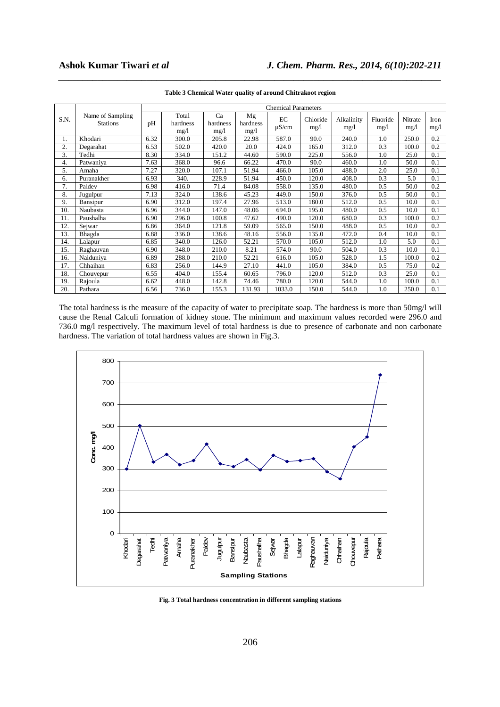|      |                                     | <b>Chemical Parameters</b> |                           |                        |                        |                  |                  |                    |                  |                 |              |
|------|-------------------------------------|----------------------------|---------------------------|------------------------|------------------------|------------------|------------------|--------------------|------------------|-----------------|--------------|
| S.N. | Name of Sampling<br><b>Stations</b> | pH                         | Total<br>hardness<br>mg/l | Ca<br>hardness<br>mg/1 | Mg<br>hardness<br>mg/l | EC<br>$\mu$ S/cm | Chloride<br>mg/l | Alkalinity<br>mg/1 | Fluoride<br>mg/1 | Nitrate<br>mg/1 | Iron<br>mg/l |
| 1.   | Khodari                             | 6.32                       | 300.0                     | 205.8                  | 22.98                  | 587.0            | 90.0             | 240.0              | 1.0              | 250.0           | 0.2          |
| 2.   | Degarahat                           | 6.53                       | 502.0                     | 420.0                  | 20.0                   | 424.0            | 165.0            | 312.0              | 0.3              | 100.0           | 0.2          |
| 3.   | Tedhi                               | 8.30                       | 334.0                     | 151.2                  | 44.60                  | 590.0            | 225.0            | 556.0              | 1.0              | 25.0            | 0.1          |
| 4.   | Patwaniya                           | 7.63                       | 368.0                     | 96.6                   | 66.22                  | 470.0            | 90.0             | 460.0              | 1.0              | 50.0            | 0.1          |
| 5.   | Amaha                               | 7.27                       | 320.0                     | 107.1                  | 51.94                  | 466.0            | 105.0            | 488.0              | 2.0              | 25.0            | 0.1          |
| 6.   | Puranakher                          | 6.93                       | 340.                      | 228.9                  | 51.94                  | 450.0            | 120.0            | 408.0              | 0.3              | 5.0             | 0.1          |
| 7.   | Paldev                              | 6.98                       | 416.0                     | 71.4                   | 84.08                  | 558.0            | 135.0            | 480.0              | 0.5              | 50.0            | 0.2          |
| 8.   | Jugulpur                            | 7.13                       | 324.0                     | 138.6                  | 45.23                  | 449.0            | 150.0            | 376.0              | 0.5              | 50.0            | 0.1          |
| 9.   | Bansipur                            | 6.90                       | 312.0                     | 197.4                  | 27.96                  | 513.0            | 180.0            | 512.0              | 0.5              | 10.0            | 0.1          |
| 10.  | Naubasta                            | 6.96                       | 344.0                     | 147.0                  | 48.06                  | 694.0            | 195.0            | 480.0              | 0.5              | 10.0            | 0.1          |
| 11.  | Paushalha                           | 6.90                       | 296.0                     | 100.8                  | 47.62                  | 490.0            | 120.0            | 680.0              | 0.3              | 100.0           | 0.2          |
| 12.  | Sejwar                              | 6.86                       | 364.0                     | 121.8                  | 59.09                  | 565.0            | 150.0            | 488.0              | 0.5              | 10.0            | 0.2          |
| 13.  | Bhagda                              | 6.88                       | 336.0                     | 138.6                  | 48.16                  | 556.0            | 135.0            | 472.0              | 0.4              | 10.0            | 0.1          |
| 14.  | Lalapur                             | 6.85                       | 340.0                     | 126.0                  | 52.21                  | 570.0            | 105.0            | 512.0              | 1.0              | 5.0             | 0.1          |
| 15.  | Raghauvan                           | 6.90                       | 348.0                     | 210.0                  | 8.21                   | 574.0            | 90.0             | 504.0              | 0.3              | 10.0            | 0.1          |
| 16.  | Naiduniya                           | 6.89                       | 288.0                     | 210.0                  | 52.21                  | 616.0            | 105.0            | 528.0              | 1.5              | 100.0           | 0.2          |
| 17.  | Chhaihan                            | 6.83                       | 256.0                     | 144.9                  | 27.10                  | 441.0            | 105.0            | 384.0              | 0.5              | 75.0            | 0.2          |
| 18.  | Chouvepur                           | 6.55                       | 404.0                     | 155.4                  | 60.65                  | 796.0            | 120.0            | 512.0              | 0.3              | 25.0            | 0.1          |
| 19.  | Rajoula                             | 6.62                       | 448.0                     | 142.8                  | 74.46                  | 780.0            | 120.0            | 544.0              | 1.0              | 100.0           | 0.1          |
| 20.  | Pathara                             | 6.56                       | 736.0                     | 155.3                  | 131.93                 | 1033.0           | 150.0            | 544.0              | 1.0              | 250.0           | 0.1          |

*\_\_\_\_\_\_\_\_\_\_\_\_\_\_\_\_\_\_\_\_\_\_\_\_\_\_\_\_\_\_\_\_\_\_\_\_\_\_\_\_\_\_\_\_\_\_\_\_\_\_\_\_\_\_\_\_\_\_\_\_\_\_\_\_\_\_\_\_\_\_\_\_\_\_\_\_\_\_* **Table 3 Chemical Water quality of around Chitrakoot region** 

The total hardness is the measure of the capacity of water to precipitate soap. The hardness is more than 50mg/l will cause the Renal Calculi formation of kidney stone. The minimum and maximum values recorded were 296.0 and 736.0 mg/l respectively. The maximum level of total hardness is due to presence of carbonate and non carbonate hardness. The variation of total hardness values are shown in Fig.3.



**Fig. 3 Total hardness concentration in different sampling stations**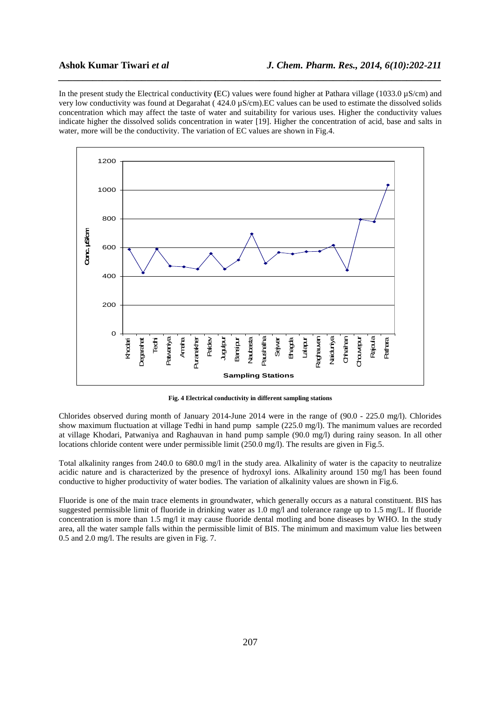In the present study the Electrical conductivity **(**EC) values were found higher at Pathara village (1033.0 µS/cm) and very low conductivity was found at Degarahat ( 424.0 µS/cm).EC values can be used to estimate the dissolved solids concentration which may affect the taste of water and suitability for various uses. Higher the conductivity values indicate higher the dissolved solids concentration in water [19]. Higher the concentration of acid, base and salts in water, more will be the conductivity. The variation of EC values are shown in Fig.4.

*\_\_\_\_\_\_\_\_\_\_\_\_\_\_\_\_\_\_\_\_\_\_\_\_\_\_\_\_\_\_\_\_\_\_\_\_\_\_\_\_\_\_\_\_\_\_\_\_\_\_\_\_\_\_\_\_\_\_\_\_\_\_\_\_\_\_\_\_\_\_\_\_\_\_\_\_\_\_*



**Fig. 4 Electrical conductivity in different sampling stations** 

Chlorides observed during month of January 2014-June 2014 were in the range of (90.0 - 225.0 mg/l). Chlorides show maximum fluctuation at village Tedhi in hand pump sample (225.0 mg/l). The manimum values are recorded at village Khodari, Patwaniya and Raghauvan in hand pump sample (90.0 mg/l) during rainy season. In all other locations chloride content were under permissible limit (250.0 mg/l). The results are given in Fig.5.

Total alkalinity ranges from 240.0 to 680.0 mg/l in the study area. Alkalinity of water is the capacity to neutralize acidic nature and is characterized by the presence of hydroxyl ions. Alkalinity around 150 mg/l has been found conductive to higher productivity of water bodies. The variation of alkalinity values are shown in Fig.6.

Fluoride is one of the main trace elements in groundwater, which generally occurs as a natural constituent. BIS has suggested permissible limit of fluoride in drinking water as 1.0 mg/l and tolerance range up to 1.5 mg/L. If fluoride concentration is more than 1.5 mg/l it may cause fluoride dental motling and bone diseases by WHO. In the study area, all the water sample falls within the permissible limit of BIS. The minimum and maximum value lies between 0.5 and 2.0 mg/l. The results are given in Fig. 7.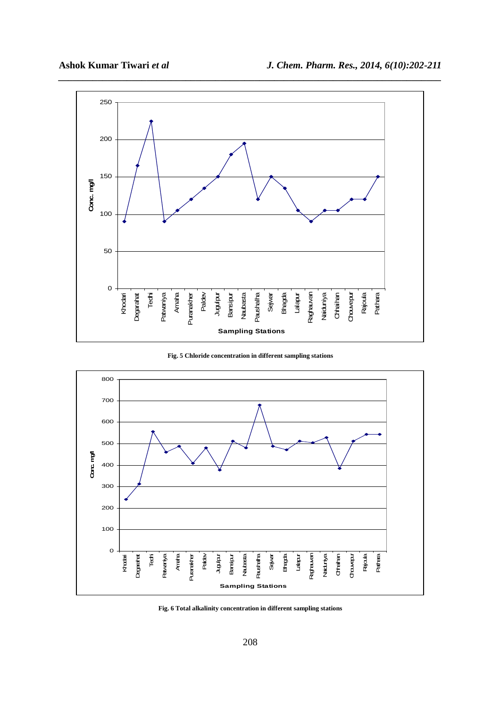

**Fig. 5 Chloride concentration in different sampling stations** 



**Fig. 6 Total alkalinity concentration in different sampling stations**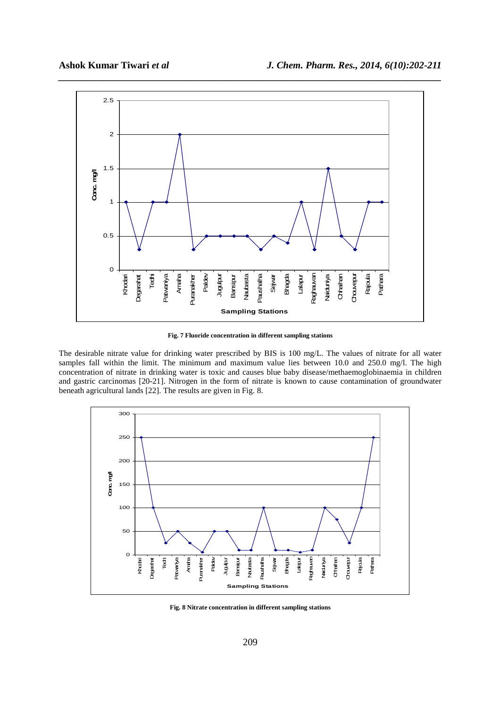

**Fig. 7 Fluoride concentration in different sampling stations** 

The desirable nitrate value for drinking water prescribed by BIS is 100 mg/L. The values of nitrate for all water samples fall within the limit. The minimum and maximum value lies between 10.0 and 250.0 mg/l. The high concentration of nitrate in drinking water is toxic and causes blue baby disease/methaemoglobinaemia in children and gastric carcinomas [20-21]. Nitrogen in the form of nitrate is known to cause contamination of groundwater beneath agricultural lands [22]. The results are given in Fig. 8.



**Fig. 8 Nitrate concentration in different sampling stations**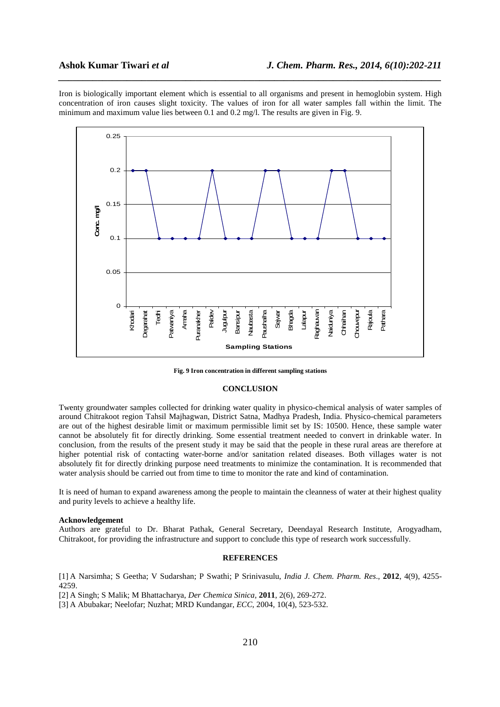Iron is biologically important element which is essential to all organisms and present in hemoglobin system. High concentration of iron causes slight toxicity. The values of iron for all water samples fall within the limit. The minimum and maximum value lies between 0.1 and 0.2 mg/l. The results are given in Fig. 9.

*\_\_\_\_\_\_\_\_\_\_\_\_\_\_\_\_\_\_\_\_\_\_\_\_\_\_\_\_\_\_\_\_\_\_\_\_\_\_\_\_\_\_\_\_\_\_\_\_\_\_\_\_\_\_\_\_\_\_\_\_\_\_\_\_\_\_\_\_\_\_\_\_\_\_\_\_\_\_*



**Fig. 9 Iron concentration in different sampling stations** 

### **CONCLUSION**

Twenty groundwater samples collected for drinking water quality in physico-chemical analysis of water samples of around Chitrakoot region Tahsil Majhagwan, District Satna, Madhya Pradesh, India. Physico-chemical parameters are out of the highest desirable limit or maximum permissible limit set by IS: 10500. Hence, these sample water cannot be absolutely fit for directly drinking. Some essential treatment needed to convert in drinkable water. In conclusion, from the results of the present study it may be said that the people in these rural areas are therefore at higher potential risk of contacting water-borne and/or sanitation related diseases. Both villages water is not absolutely fit for directly drinking purpose need treatments to minimize the contamination. It is recommended that water analysis should be carried out from time to time to monitor the rate and kind of contamination.

It is need of human to expand awareness among the people to maintain the cleanness of water at their highest quality and purity levels to achieve a healthy life.

### **Acknowledgement**

Authors are grateful to Dr. Bharat Pathak, General Secretary, Deendayal Research Institute, Arogyadham, Chitrakoot, for providing the infrastructure and support to conclude this type of research work successfully.

# **REFERENCES**

[1] A Narsimha; S Geetha; V Sudarshan; P Swathi; P Srinivasulu, *India J. Chem. Pharm. Res*., **2012**, 4(9), 4255- 4259.

[2] A Singh; S Malik; M Bhattacharya, *Der Chemica Sinica,* **2011**, 2(6), 269-272.

[3] A Abubakar; Neelofar; Nuzhat; MRD Kundangar, *ECC*, 2004, 10(4), 523-532.